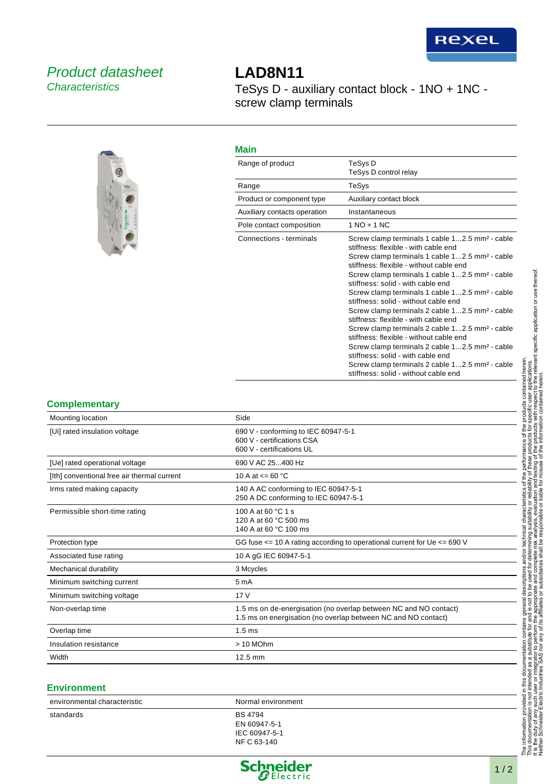## Product datasheet **Characteristics**



# **LAD8N11**

TeSys D - auxiliary contact block - 1NO + 1NC screw clamp terminals

#### **Main**

| Range of product             | TeSys D<br>TeSys D control relay                                                                                                                                                                                                                                                                                                                                                                                                                                                                                                                                                                                                                                                                                                                                                                                                             |
|------------------------------|----------------------------------------------------------------------------------------------------------------------------------------------------------------------------------------------------------------------------------------------------------------------------------------------------------------------------------------------------------------------------------------------------------------------------------------------------------------------------------------------------------------------------------------------------------------------------------------------------------------------------------------------------------------------------------------------------------------------------------------------------------------------------------------------------------------------------------------------|
| Range                        | TeSys                                                                                                                                                                                                                                                                                                                                                                                                                                                                                                                                                                                                                                                                                                                                                                                                                                        |
| Product or component type    | Auxiliary contact block                                                                                                                                                                                                                                                                                                                                                                                                                                                                                                                                                                                                                                                                                                                                                                                                                      |
| Auxiliary contacts operation | Instantaneous                                                                                                                                                                                                                                                                                                                                                                                                                                                                                                                                                                                                                                                                                                                                                                                                                                |
| Pole contact composition     | $1 NQ + 1 NC$                                                                                                                                                                                                                                                                                                                                                                                                                                                                                                                                                                                                                                                                                                                                                                                                                                |
| Connections - terminals      | Screw clamp terminals 1 cable 12.5 mm <sup>2</sup> - cable<br>stiffness: flexible - with cable end<br>Screw clamp terminals 1 cable 12.5 mm <sup>2</sup> - cable<br>stiffness: flexible - without cable end<br>Screw clamp terminals 1 cable 12.5 mm <sup>2</sup> - cable<br>stiffness: solid - with cable end<br>Screw clamp terminals 1 cable 12.5 mm <sup>2</sup> - cable<br>stiffness: solid - without cable end<br>Screw clamp terminals 2 cable 12.5 mm <sup>2</sup> - cable<br>stiffness: flexible - with cable end<br>Screw clamp terminals 2 cable 12.5 mm <sup>2</sup> - cable<br>stiffness: flexible - without cable end<br>Screw clamp terminals 2 cable 12.5 mm <sup>2</sup> - cable<br>stiffness: solid - with cable end<br>Screw clamp terminals 2 cable 12.5 mm <sup>2</sup> - cable<br>stiffness: solid - without cable end |

### **Complementary**

| Mounting location                           | Side                                                                                                                              |
|---------------------------------------------|-----------------------------------------------------------------------------------------------------------------------------------|
| [Ui] rated insulation voltage               | 690 V - conforming to IEC 60947-5-1<br>600 V - certifications CSA<br>600 V - certifications UL                                    |
| [Ue] rated operational voltage              | 690 V AC 25400 Hz                                                                                                                 |
| [Ith] conventional free air thermal current | 10 A at $\leq$ 60 °C                                                                                                              |
| Irms rated making capacity                  | 140 A AC conforming to IEC 60947-5-1<br>250 A DC conforming to IEC 60947-5-1                                                      |
| Permissible short-time rating               | 100 A at 60 °C 1 s<br>120 A at 60 °C 500 ms<br>140 A at 60 °C 100 ms                                                              |
| Protection type                             | GG fuse $\le$ = 10 A rating according to operational current for Ue $\le$ = 690 V                                                 |
| Associated fuse rating                      | 10 A gG IEC 60947-5-1                                                                                                             |
| Mechanical durability                       | 3 Mcycles                                                                                                                         |
| Minimum switching current                   | 5 <sub>m</sub> A                                                                                                                  |
| Minimum switching voltage                   | 17V                                                                                                                               |
| Non-overlap time                            | 1.5 ms on de-energisation (no overlap between NC and NO contact)<br>1.5 ms on energisation (no overlap between NC and NO contact) |
| Overlap time                                | 1.5 <sub>ms</sub>                                                                                                                 |
| Insulation resistance                       | $>10$ MOhm                                                                                                                        |
| Width                                       | $12.5$ mm                                                                                                                         |

#### **Environment**

| environmental characteristic | Normal environment |
|------------------------------|--------------------|
| standards                    | <b>BS 4794</b>     |
|                              | EN 60947-5-1       |
|                              | IEC 60947-5-1      |
|                              | NF C 63-140        |